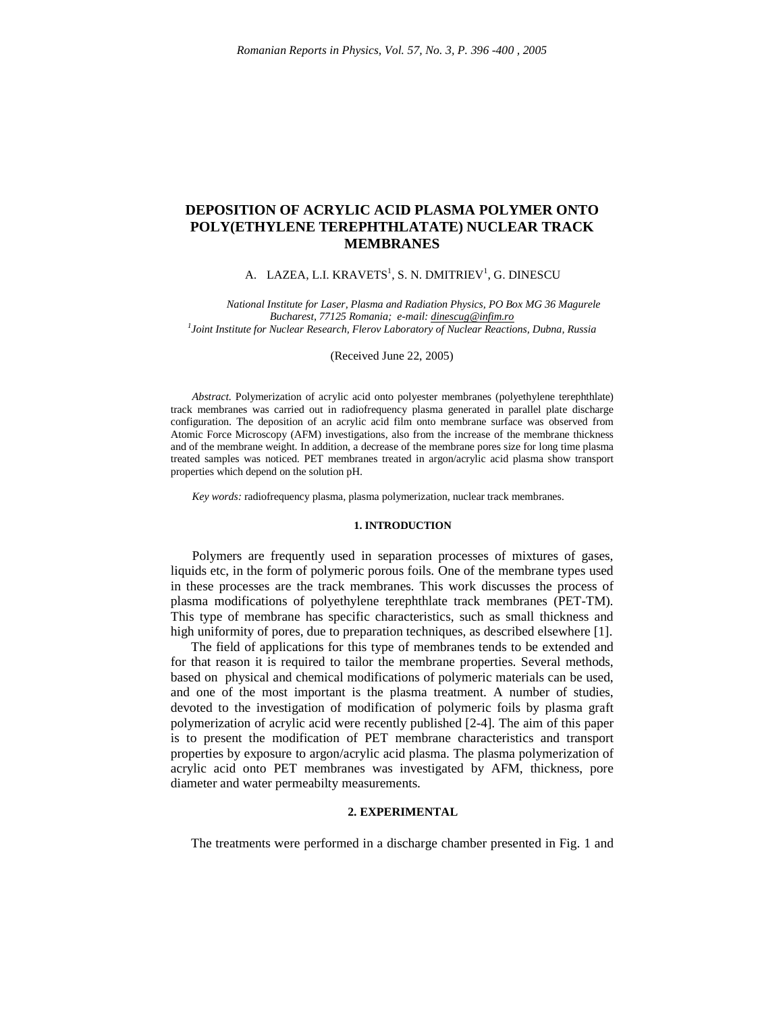# **DEPOSITION OF ACRYLIC ACID PLASMA POLYMER ONTO POLY(ETHYLENE TEREPHTHLATATE) NUCLEAR TRACK MEMBRANES**

## A. LAZEA, L.I. KRAVETS<sup>1</sup>, S. N. DMITRIEV<sup>1</sup>, G. DINESCU

*National Institute for Laser, Plasma and Radiation Physics, PO Box MG 36 Magurele Bucharest, 77125 Romania; e-mail: dinescug@infim.ro 1 Joint Institute for Nuclear Research, Flerov Laboratory of Nuclear Reactions, Dubna, Russia*

#### (Received June 22, 2005)

*Abstract.* Polymerization of acrylic acid onto polyester membranes (polyethylene terephthlate) track membranes was carried out in radiofrequency plasma generated in parallel plate discharge configuration. The deposition of an acrylic acid film onto membrane surface was observed from Atomic Force Microscopy (AFM) investigations, also from the increase of the membrane thickness and of the membrane weight. In addition, a decrease of the membrane pores size for long time plasma treated samples was noticed. PET membranes treated in argon/acrylic acid plasma show transport properties which depend on the solution pH.

*Key words:* radiofrequency plasma, plasma polymerization, nuclear track membranes.

### **1. INTRODUCTION**

Polymers are frequently used in separation processes of mixtures of gases, liquids etc, in the form of polymeric porous foils. One of the membrane types used in these processes are the track membranes. This work discusses the process of plasma modifications of polyethylene terephthlate track membranes (PET-TM). This type of membrane has specific characteristics, such as small thickness and high uniformity of pores, due to preparation techniques, as described elsewhere [1].

The field of applications for this type of membranes tends to be extended and for that reason it is required to tailor the membrane properties. Several methods, based on physical and chemical modifications of polymeric materials can be used, and one of the most important is the plasma treatment. A number of studies, devoted to the investigation of modification of polymeric foils by plasma graft polymerization of acrylic acid were recently published [2-4]. The aim of this paper is to present the modification of PET membrane characteristics and transport properties by exposure to argon/acrylic acid plasma. The plasma polymerization of acrylic acid onto PET membranes was investigated by AFM, thickness, pore diameter and water permeabilty measurements.

#### **2. EXPERIMENTAL**

The treatments were performed in a discharge chamber presented in Fig. 1 and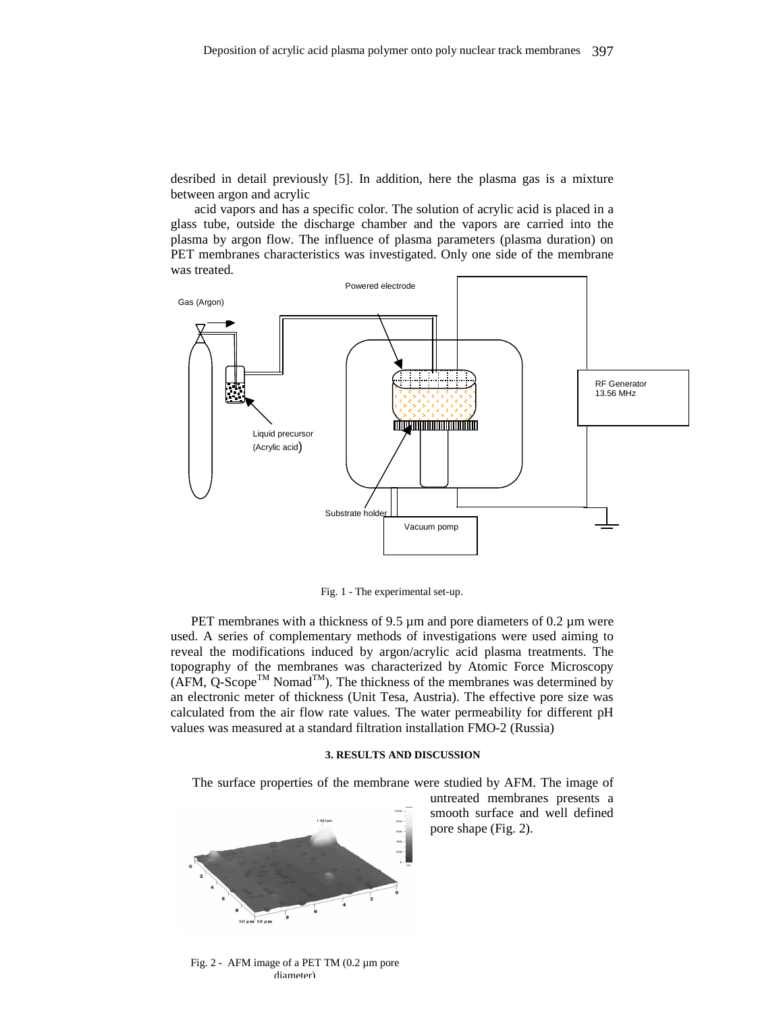desribed in detail previously [5]. In addition, here the plasma gas is a mixture between argon and acrylic

acid vapors and has a specific color. The solution of acrylic acid is placed in a glass tube, outside the discharge chamber and the vapors are carried into the plasma by argon flow. The influence of plasma parameters (plasma duration) on PET membranes characteristics was investigated. Only one side of the membrane was treated.



Fig. 1 - The experimental set-up.

PET membranes with a thickness of 9.5 µm and pore diameters of 0.2 µm were used. A series of complementary methods of investigations were used aiming to reveal the modifications induced by argon/acrylic acid plasma treatments. The topography of the membranes was characterized by Atomic Force Microscopy  $(AFM, Q-Score^{TM} \text{ Nomad}^{TM})$ . The thickness of the membranes was determined by an electronic meter of thickness (Unit Tesa, Austria). The effective pore size was calculated from the air flow rate values. The water permeability for different pH values was measured at a standard filtration installation FMO-2 (Russia)

#### **3. RESULTS AND DISCUSSION**

The surface properties of the membrane were studied by AFM. The image of



untreated membranes presents a smooth surface and well defined pore shape (Fig. 2).

Fig. 2 - AFM image of a PET TM (0.2 µm pore diameter)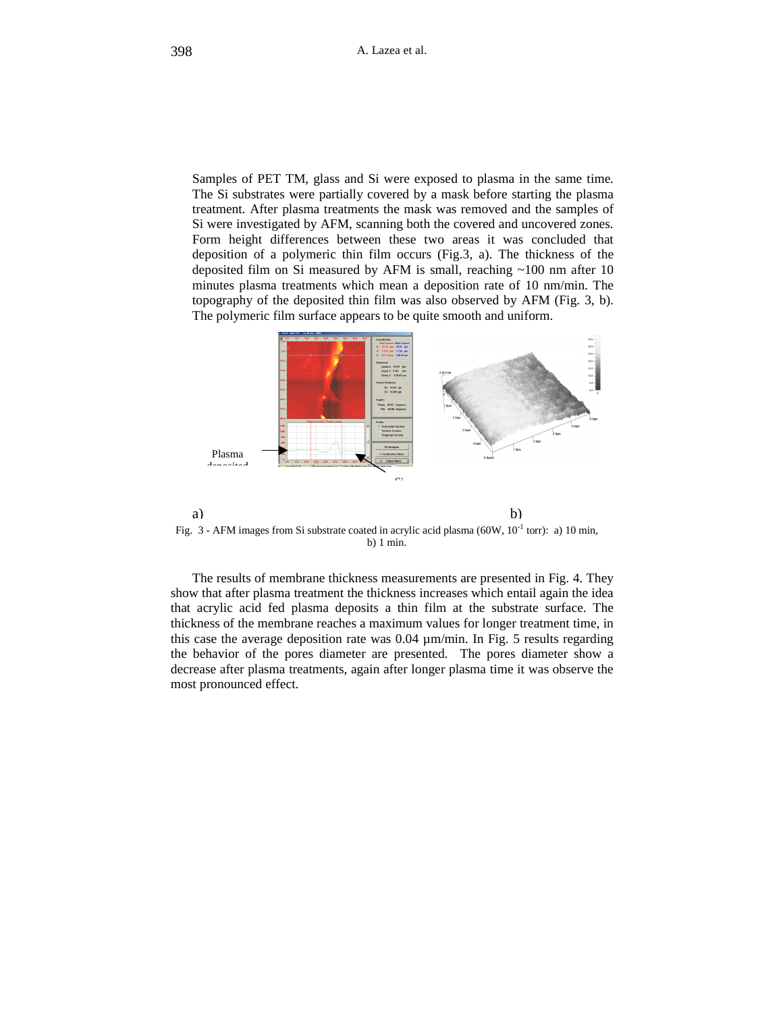Samples of PET TM, glass and Si were exposed to plasma in the same time. The Si substrates were partially covered by a mask before starting the plasma treatment. After plasma treatments the mask was removed and the samples of Si were investigated by AFM, scanning both the covered and uncovered zones. Form height differences between these two areas it was concluded that deposition of a polymeric thin film occurs (Fig.3, a). The thickness of the deposited film on Si measured by AFM is small, reaching ~100 nm after 10 minutes plasma treatments which mean a deposition rate of 10 nm/min. The topography of the deposited thin film was also observed by AFM (Fig. 3, b). The polymeric film surface appears to be quite smooth and uniform.



a) b) Fig. 3 - AFM images from Si substrate coated in acrylic acid plasma (60W,  $10^{-1}$  torr): a) 10 min, b) 1 min.

The results of membrane thickness measurements are presented in Fig. 4. They show that after plasma treatment the thickness increases which entail again the idea that acrylic acid fed plasma deposits a thin film at the substrate surface. The thickness of the membrane reaches a maximum values for longer treatment time, in this case the average deposition rate was 0.04 µm/min. In Fig. 5 results regarding the behavior of the pores diameter are presented. The pores diameter show a decrease after plasma treatments, again after longer plasma time it was observe the most pronounced effect.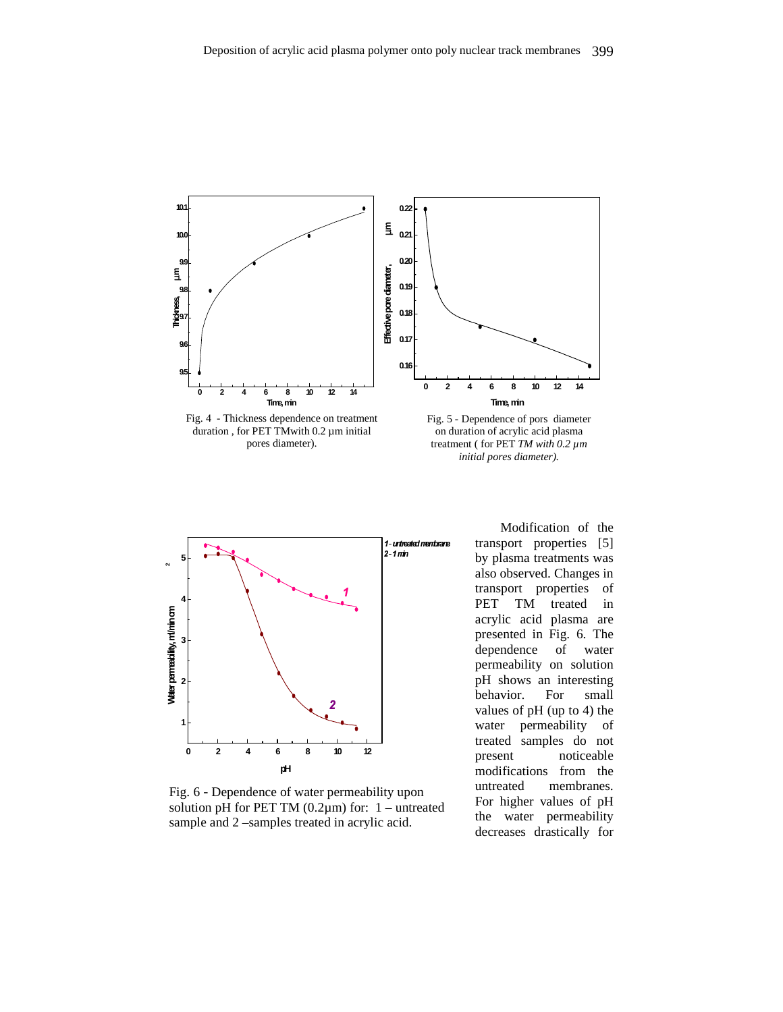



Fig. 6 - Dependence of water permeability upon solution pH for PET TM  $(0.2\mu m)$  for: 1 – untreated sample and 2 –samples treated in acrylic acid.

Modification of the ane transport properties [5] by plasma treatments was also observed. Changes in transport properties of PET TM treated in acrylic acid plasma are presented in Fig. 6. The dependence of water permeability on solution pH shows an interesting behavior. For small values of pH (up to 4) the water permeability of treated samples do not present noticeable modifications from the untreated membranes. For higher values of pH the water permeability decreases drastically for